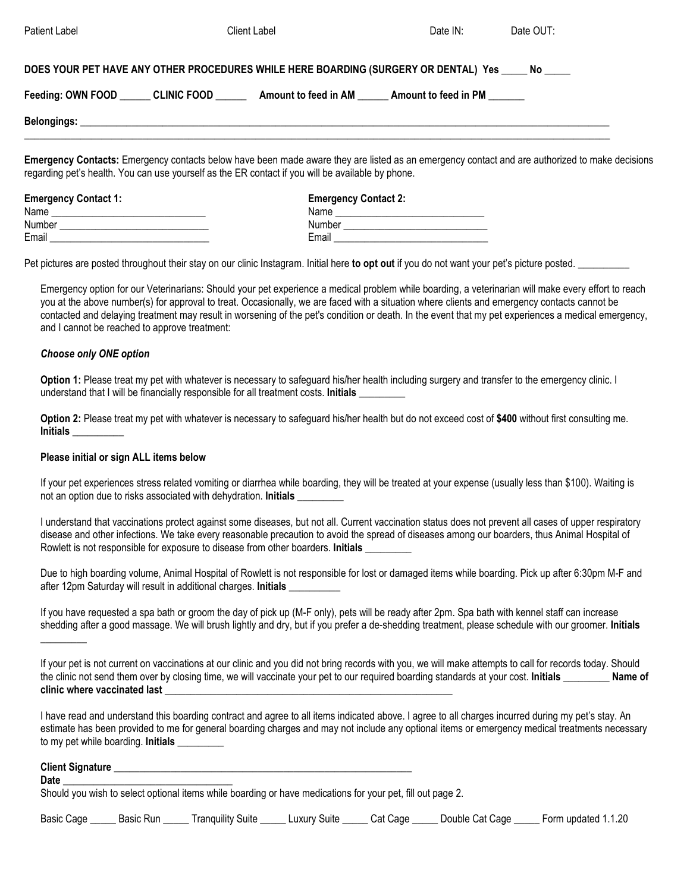| Patient Label               | Client Label                                                                                                                                                                                                                                        | Date IN:                    | Date OUT: |  |  |
|-----------------------------|-----------------------------------------------------------------------------------------------------------------------------------------------------------------------------------------------------------------------------------------------------|-----------------------------|-----------|--|--|
|                             | DOES YOUR PET HAVE ANY OTHER PROCEDURES WHILE HERE BOARDING (SURGERY OR DENTAL) Yes No                                                                                                                                                              |                             |           |  |  |
|                             | Feeding: OWN FOOD CLINIC FOOD Amount to feed in AM Amount to feed in PM                                                                                                                                                                             |                             |           |  |  |
|                             |                                                                                                                                                                                                                                                     |                             |           |  |  |
|                             | Emergency Contacts: Emergency contacts below have been made aware they are listed as an emergency contact and are authorized to make decisions<br>regarding pet's health. You can use yourself as the ER contact if you will be available by phone. |                             |           |  |  |
| <b>Emergency Contact 1:</b> |                                                                                                                                                                                                                                                     | <b>Emergency Contact 2:</b> |           |  |  |
|                             |                                                                                                                                                                                                                                                     |                             |           |  |  |
| Number                      | Number                                                                                                                                                                                                                                              |                             |           |  |  |

Pet pictures are posted throughout their stay on our clinic Instagram. Initial here **to opt out** if you do not want your pet's picture posted. \_\_\_\_\_\_\_\_\_\_

Email \_\_\_\_\_\_\_\_\_\_\_\_\_\_\_\_\_\_\_\_\_\_\_\_\_\_\_\_\_\_\_ Email \_\_\_\_\_\_\_\_\_\_\_\_\_\_\_\_\_\_\_\_\_\_\_\_\_\_\_\_\_\_

Emergency option for our Veterinarians: Should your pet experience a medical problem while boarding, a veterinarian will make every effort to reach you at the above number(s) for approval to treat. Occasionally, we are faced with a situation where clients and emergency contacts cannot be contacted and delaying treatment may result in worsening of the pet's condition or death. In the event that my pet experiences a medical emergency, and I cannot be reached to approve treatment:

#### *Choose only ONE option*

Option 1: Please treat my pet with whatever is necessary to safeguard his/her health including surgery and transfer to the emergency clinic. I understand that I will be financially responsible for all treatment costs. **Initials \_\_\_\_\_\_\_\_\_** 

**Option 2:** Please treat my pet with whatever is necessary to safeguard his/her health but do not exceed cost of **\$400** without first consulting me. **Initials \_\_\_\_\_\_\_\_\_\_** 

#### **Please initial or sign ALL items below**

If your pet experiences stress related vomiting or diarrhea while boarding, they will be treated at your expense (usually less than \$100). Waiting is not an option due to risks associated with dehydration. **Initials \_\_\_\_\_\_\_\_\_** 

I understand that vaccinations protect against some diseases, but not all. Current vaccination status does not prevent all cases of upper respiratory disease and other infections. We take every reasonable precaution to avoid the spread of diseases among our boarders, thus Animal Hospital of Rowlett is not responsible for exposure to disease from other boarders. **Initials \_\_\_\_\_\_\_\_\_** 

Due to high boarding volume, Animal Hospital of Rowlett is not responsible for lost or damaged items while boarding. Pick up after 6:30pm M-F and after 12pm Saturday will result in additional charges. **Initials \_\_\_\_\_\_\_\_\_\_** 

If you have requested a spa bath or groom the day of pick up (M-F only), pets will be ready after 2pm. Spa bath with kennel staff can increase shedding after a good massage. We will brush lightly and dry, but if you prefer a de-shedding treatment, please schedule with our groomer. **Initials** 

If your pet is not current on vaccinations at our clinic and you did not bring records with you, we will make attempts to call for records today. Should the clinic not send them over by closing time, we will vaccinate your pet to our required boarding standards at your cost. Initials **Name of clinic where vaccinated last \_\_\_\_\_\_\_\_\_\_\_\_\_\_\_\_\_\_\_\_\_\_\_\_\_\_\_\_\_\_\_\_\_\_\_\_\_\_\_\_\_\_\_\_\_\_\_\_\_\_\_\_\_\_\_\_** 

I have read and understand this boarding contract and agree to all items indicated above. I agree to all charges incurred during my pet's stay. An estimate has been provided to me for general boarding charges and may not include any optional items or emergency medical treatments necessary to my pet while boarding. **Initials** 

#### **Client Signature** \_\_\_\_\_\_\_\_\_\_\_\_\_\_\_\_\_\_\_\_\_\_\_\_\_\_\_\_\_\_\_\_\_\_\_\_\_\_\_\_\_\_\_\_\_\_\_\_\_\_\_\_\_\_\_\_\_\_

**\_\_\_\_\_\_\_\_\_** 

**Date** \_\_\_\_\_\_\_\_\_\_\_\_\_\_\_\_\_\_\_\_\_\_\_\_\_\_\_\_\_\_\_\_\_

Should you wish to select optional items while boarding or have medications for your pet, fill out page 2.

| Basic<br>Cage | Jacin<br>Rur<br>. והמנ | <br>Suite<br>nuility | uxurv<br>Suite | Jade<br>^*<br>. | Cat Cage<br>Jouble | undateo<br>.20 |
|---------------|------------------------|----------------------|----------------|-----------------|--------------------|----------------|
|---------------|------------------------|----------------------|----------------|-----------------|--------------------|----------------|